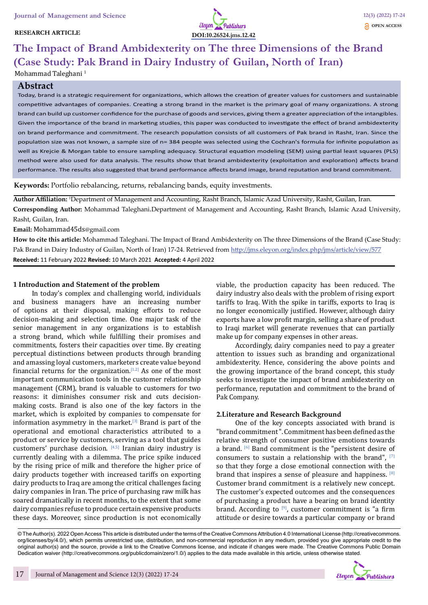## **RESEARCH ARTICLE**



# **The Impact of Brand Ambidexterity on The three Dimensions of the Brand (Case Study: Pak Brand in Dairy Industry of Guilan, North of Iran)**

# Mohammad Taleghani<sup>1</sup>

## **Abstract**

Today, brand is a strategic requirement for organizations, which allows the creation of greater values for customers and sustainable competitive advantages of companies. Creating a strong brand in the market is the primary goal of many organizations. A strong brand can build up customer confidence for the purchase of goods and services, giving them a greater appreciation of the intangibles. Given the importance of the brand in marketing studies, this paper was conducted to investigate the effect of brand ambidexterity on brand performance and commitment. The research population consists of all customers of Pak brand in Rasht, Iran. Since the population size was not known, a sample size of n= 384 people was selected using the Cochran's formula for infinite population as well as Krejcie & Morgan table to ensure sampling adequacy. Structural equation modeling (SEM) using partial least squares (PLS) method were also used for data analysis. The results show that brand ambidexterity (exploitation and exploration) affects brand performance. The results also suggested that brand performance affects brand image, brand reputation and brand commitment.

**Keywords:** Portfolio rebalancing, returns, rebalancing bands, equity investments.

**Author Affiliation:** <sup>1</sup> Department of Management and Accounting, Rasht Branch, Islamic Azad University, Rasht, Guilan, Iran.

**Corresponding Author:** Mohammad Taleghani.Department of Management and Accounting, Rasht Branch, Islamic Azad University, Rasht, Guilan, Iran.

**Email:** Mohammad45ds@gmail.com

**How to cite this article:** Mohammad Taleghani. The Impact of Brand Ambidexterity on The three Dimensions of the Brand (Case Study: Pak Brand in Dairy Industry of Guilan, North of Iran) 17-24. Retrieved from http://jms.eleyon.org/index.php/jms/article/view/577 **Received:** 11 February 2022 **Revised:** 10 March 2021 **Accepted:** 4 April 2022

#### **1 Introduction and Statement of the problem**

In today's complex and challenging world, individuals and business managers have an increasing number of options at their disposal, making efforts to reduce decision-making and selection time. One major task of the senior management in any organizations is to establish a strong brand, which while fulfilling their promises and commitments, fosters their capacities over time. By creating perceptual distinctions between products through branding and amassing loyal customers, marketers create value beyond financial returns for the organization.<sup>[1,2]</sup> As one of the most important communication tools in the customer relationship management (CRM), brand is valuable to customers for two reasons: it diminishes consumer risk and cuts decisionmaking costs. Brand is also one of the key factors in the market, which is exploited by companies to compensate for information asymmetry in the market.[3] Brand is part of the operational and emotional characteristics attributed to a product or service by customers, serving as a tool that guides customers' purchase decision. [4,5] Iranian dairy industry is currently dealing with a dilemma. The price spike induced by the rising price of milk and therefore the higher price of dairy products together with increased tariffs on exporting dairy products to Iraq are among the critical challenges facing dairy companies in Iran. The price of purchasing raw milk has soared dramatically in recent months, to the extent that some dairy companies refuse to produce certain expensive products these days. Moreover, since production is not economically viable, the production capacity has been reduced. The dairy industry also deals with the problem of rising export tariffs to Iraq. With the spike in tariffs, exports to Iraq is no longer economically justified. However, although dairy exports have a low profit margin, selling a share of product to Iraqi market will generate revenues that can partially make up for company expenses in other areas.

Accordingly, dairy companies need to pay a greater attention to issues such as branding and organizational ambidexterity. Hence, considering the above points and the growing importance of the brand concept, this study seeks to investigate the impact of brand ambidexterity on performance, reputation and commitment to the brand of Pak Company.

#### **2.Literature and Research Background**

One of the key concepts associated with brand is "brand commitment ". Commitment has been defined as the relative strength of consumer positive emotions towards a brand. [6] Band commitment is the "persistent desire of consumers to sustain a relationship with the brand",  $[7]$ so that they forge a close emotional connection with the brand that inspires a sense of pleasure and happiness. [8] Customer brand commitment is a relatively new concept. The customer's expected outcomes and the consequences of purchasing a product have a bearing on brand identity brand. According to  $[9]$ , customer commitment is "a firm attitude or desire towards a particular company or brand

© The Author(s). 2022 Open Access This article is distributed under the terms of the Creative Commons Attribution 4.0 International License (http://creativecommons. org/licenses/by/4.0/), which permits unrestricted use, distribution, and non-commercial reproduction in any medium, provided you give appropriate credit to the original author(s) and the source, provide a link to the Creative Commons license, and indicate if changes were made. The Creative Commons Public Domain Dedication waiver (http://creativecommons.org/publicdomain/zero/1.0/) applies to the data made available in this article, unless otherwise stated.

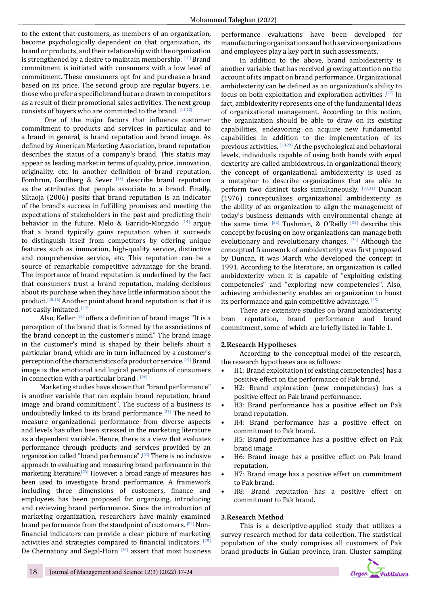to the extent that customers, as members of an organization, become psychologically dependent on that organization, its brand or products, and their relationship with the organization is strengthened by a desire to maintain membership. [10] Brand commitment is initiated with consumers with a low level of commitment. These consumers opt for and purchase a brand based on its price. The second group are regular buyers, i.e. those who prefer a specific brand but are drawn to competitors as a result of their promotional sales activities. The next group consists of buyers who are committed to the brand. [11,12]

 One of the major factors that influence customer commitment to products and services in particular, and to a brand in general, is brand reputation and brand image. As defined by American Marketing Association, brand reputation describes the status of a company's brand. This status may appear as leading market in terms of quality, price, innovation, originality, etc. In another definition of brand reputation, Fombrun, Gardberg & Sever  $[13]$  describe brand reputation as the attributes that people associate to a brand. Finally, Siltaoja (2006) posits that brand reputation is an indicator of the brand's success in fulfilling promises and meeting the expectations of stakeholders in the past and predicting their behavior in the future. Melo & Garrido-Morgado  $[14]$  argue that a brand typically gains reputation when it succeeds to distinguish itself from competitors by offering unique features such as innovation, high-quality service, distinctive and comprehensive service, etc. This reputation can be a source of remarkable competitive advantage for the brand. The importance of brand reputation is underlined by the fact that consumers trust a brand reputation, making decisions about its purchase when they have little information about the product.[15,16] Another point about brand reputation is that it is not easily imitated. [17]

Also, Keller<sup>[18]</sup> offers a definition of brand image: "It is a perception of the brand that is formed by the associations of the brand concept in the customer's mind." The brand image in the customer's mind is shaped by their beliefs about a particular brand, which are in turn influenced by a customer's perception of the characteristics of a product or service.[19] Brand image is the emotional and logical perceptions of consumers in connection with a particular brand  $^{[20]}$ 

Marketing studies have shown that "brand performance" is another variable that can explain brand reputation, brand image and brand commitment". The success of a business is undoubtedly linked to its brand performance.<sup>[21]</sup> The need to measure organizational performance from diverse aspects and levels has often been stressed in the marketing literature as a dependent variable. Hence, there is a view that evaluates performance through products and services provided by an organization called "brand performance" .[22] There is no inclusive approach to evaluating and measuring brand performance in the marketing literature.[23] However, a broad range of measures has been used to investigate brand performance. A framework including three dimensions of customers, finance and employees has been proposed for organizing, introducing and reviewing brand performance. Since the introduction of marketing organization, researchers have mainly examined brand performance from the standpoint of customers. [24] Nonfinancial indicators can provide a clear picture of marketing activities and strategies compared to financial indicators. [25] De Chernatony and Segal-Horn<sup>[26]</sup> assert that most business performance evaluations have been developed for manufacturing organizations and both service organizations and employees play a key part in such assessments.

In addition to the above, brand ambidexterity is another variable that has received growing attention on the account of its impact on brand performance. Organizational ambidexterity can be defined as an organization's ability to focus on both exploitation and exploration activities .[27] In fact, ambidexterity represents one of the fundamental ideas of organizational management. According to this notion, the organization should be able to draw on its existing capabilities, endeavoring on acquire new fundamental capabilities in addition to the implementation of its previous activities. [28,29] At the psychological and behavioral levels, individuals capable of using both hands with equal dexterity are called ambidextrous. In organizational theory, the concept of organizational ambidexterity is used as a metaphor to describe organizations that are able to perform two distinct tasks simultaneously. [30,31] Duncan (1976) conceptualizes organizational ambidexterity as the ability of an organization to align the management of today's business demands with environmental change at the same time.  $[32]$  Tushman, & O'Reilly  $[33]$  describe this concept by focusing on how organizations can manage both evolutionary and revolutionary changes. [34] Although the conceptual framework of ambidexterity was first proposed by Duncan, it was March who developed the concept in 1991. According to the literature, an organization is called ambidexterity when it is capable of "exploiting existing competencies" and "exploring new competencies". Also, achieving ambidexterity enables an organization to boost its performance and gain competitive advantage. [35]

There are extensive studies on brand ambidexterity,<br>reputation, brand performance and brand bran reputation, brand performance and commitment, some of which are briefly listed in Table 1.

## **2.Research Hypotheses**

According to the conceptual model of the research, the research hypotheses are as follows:

- H1: Brand exploitation (of existing competencies) has a positive effect on the performance of Pak brand.
- H2: Brand exploration (new competencies) has a positive effect on Pak brand performance.
- H3: Brand performance has a positive effect on Pak brand reputation.
- H4: Brand performance has a positive effect on commitment to Pak brand.
- H5: Brand performance has a positive effect on Pak brand image.
- H6: Brand image has a positive effect on Pak brand reputation.
- H7: Brand image has a positive effect on commitment to Pak brand.
- H8: Brand reputation has a positive effect on commitment to Pak brand.

#### **3.Research Method**

This is a descriptive-applied study that utilizes a survey research method for data collection. The statistical population of the study comprises all customers of Pak brand products in Guilan province, Iran. Cluster sampling

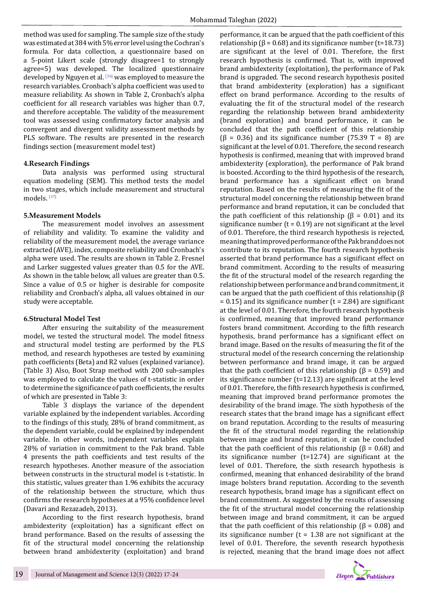method was used for sampling. The sample size of the study was estimated at 384 with 5% error level using the Cochran's formula. For data collection, a questionnaire based on a 5-point Likert scale (strongly disagree=1 to strongly agree=5) was developed. The localized questionnaire developed by Nguyen et al. [36] was employed to measure the research variables. Cronbach's alpha coefficient was used to measure reliability. As shown in Table 2, Cronbach's alpha coefficient for all research variables was higher than 0.7, and therefore acceptable. The validity of the measurement tool was assessed using confirmatory factor analysis and convergent and divergent validity assessment methods by PLS software. The results are presented in the research findings section (measurement model test)

## **4.Research Findings**

Data analysis was performed using structural equation modeling (SEM). This method tests the model in two stages, which include measurement and structural models. [37]

#### **5.Measurement Models**

The measurement model involves an assessment of reliability and validity. To examine the validity and reliability of the measurement model, the average variance extracted (AVE), index, composite reliability and Cronbach's alpha were used. The results are shown in Table 2. Fresnel and Larker suggested values greater than 0.5 for the AVE. As shown in the table below, all values are greater than 0.5. Since a value of 0.5 or higher is desirable for composite reliability and Cronbach's alpha, all values obtained in our study were acceptable.

#### **6.Structural Model Test**

After ensuring the suitability of the measurement model, we tested the structural model. The model fitness and structural model testing are performed by the PLS method, and research hypotheses are tested by examining path coefficients (Beta) and R2 values (explained variance). (Table 3) Also, Boot Strap method with 200 sub-samples was employed to calculate the values of t-statistic in order to determine the significance of path coefficients, the results of which are presented in Table 3:

Table 3 displays the variance of the dependent variable explained by the independent variables. According to the findings of this study, 28% of brand commitment, as the dependent variable, could be explained by independent variable. In other words, independent variables explain 28% of variation in commitment to the Pak brand. Table 4 presents the path coefficients and test results of the research hypotheses. Another measure of the association between constructs in the structural model is t-statistic. In this statistic, values greater than 1.96 exhibits the accuracy of the relationship between the structure, which thus confirms the research hypotheses at a 95% confidence level (Davari and Rezazadeh, 2013).

According to the first research hypothesis, brand ambidexterity (exploitation) has a significant effect on brand performance. Based on the results of assessing the fit of the structural model concerning the relationship between brand ambidexterity (exploitation) and brand

performance, it can be argued that the path coefficient of this relationship ( $β = 0.68$ ) and its significance number (t=18.73) are significant at the level of 0.01. Therefore, the first research hypothesis is confirmed. That is, with improved brand ambidexterity (exploitation), the performance of Pak brand is upgraded. The second research hypothesis posited that brand ambidexterity (exploration) has a significant effect on brand performance. According to the results of evaluating the fit of the structural model of the research regarding the relationship between brand ambidexterity (brand exploration) and brand performance, it can be concluded that the path coefficient of this relationship ( $\beta$  = 0.36) and its significance number (75.39 T = 8) are significant at the level of 0.01. Therefore, the second research hypothesis is confirmed, meaning that with improved brand ambidexterity (exploration), the performance of Pak brand is boosted. According to the third hypothesis of the research, brand performance has a significant effect on brand reputation. Based on the results of measuring the fit of the structural model concerning the relationship between brand performance and brand reputation, it can be concluded that the path coefficient of this relationship (β = 0.01) and its significance number ( $t = 0.19$ ) are not significant at the level of 0.01. Therefore, the third research hypothesis is rejected, meaning that improved performance of the Pak brand does not contribute to its reputation. The fourth research hypothesis asserted that brand performance has a significant effect on brand commitment. According to the results of measuring the fit of the structural model of the research regarding the relationship between performance and brand commitment, it can be argued that the path coefficient of this relationship (β  $= 0.15$ ) and its significance number (t = 2.84) are significant at the level of 0.01. Therefore, the fourth research hypothesis is confirmed, meaning that improved brand performance fosters brand commitment. According to the fifth research hypothesis, brand performance has a significant effect on brand image. Based on the results of measuring the fit of the structural model of the research concerning the relationship between performance and brand image, it can be argued that the path coefficient of this relationship (β = 0.59) and its significance number (t=12.13) are significant at the level of 0.01. Therefore, the fifth research hypothesis is confirmed, meaning that improved brand performance promotes the desirability of the brand image. The sixth hypothesis of the research states that the brand image has a significant effect on brand reputation. According to the results of measuring the fit of the structural model regarding the relationship between image and brand reputation, it can be concluded that the path coefficient of this relationship ( $β = 0.68$ ) and its significance number (t=12.74) are significant at the level of 0.01. Therefore, the sixth research hypothesis is confirmed, meaning that enhanced desirability of the brand image bolsters brand reputation. According to the seventh research hypothesis, brand image has a significant effect on brand commitment. As suggested by the results of assessing the fit of the structural model concerning the relationship between image and brand commitment, it can be argued that the path coefficient of this relationship ( $β = 0.08$ ) and its significance number ( $t = 1.38$  are not significant at the level of 0.01. Therefore, the seventh research hypothesis is rejected, meaning that the brand image does not affect

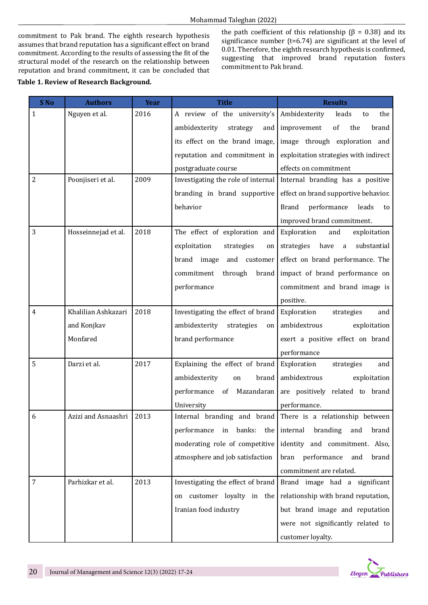commitment to Pak brand. The eighth research hypothesis assumes that brand reputation has a significant effect on brand commitment. According to the results of assessing the fit of the structural model of the research on the relationship between reputation and brand commitment, it can be concluded that

# **Table 1. Review of Research Background.**

the path coefficient of this relationship ( $β = 0.38$ ) and its significance number (t=6.74) are significant at the level of 0.01. Therefore, the eighth research hypothesis is confirmed, suggesting that improved brand reputation fosters commitment to Pak brand.

| S No           | <b>Authors</b>           | <b>Year</b> | <b>Title</b>                               | <b>Results</b>                                              |  |
|----------------|--------------------------|-------------|--------------------------------------------|-------------------------------------------------------------|--|
| 1              | Nguyen et al.            | 2016        | A review of the university's Ambidexterity | leads<br>the<br>to                                          |  |
|                |                          |             | ambidexterity<br>strategy<br>and           | improvement<br>of<br>the<br>brand                           |  |
|                |                          |             | its effect on the brand image,             | image through exploration and                               |  |
|                |                          |             | reputation and commitment in               | exploitation strategies with indirect                       |  |
|                |                          |             | postgraduate course                        | effects on commitment                                       |  |
| $\overline{2}$ | Poonjiseri et al.        | 2009        | Investigating the role of internal         | Internal branding has a positive                            |  |
|                |                          |             | branding in brand supportive               | effect on brand supportive behavior.                        |  |
|                |                          |             | behavior                                   | <b>Brand</b><br>performance<br>leads<br>to                  |  |
|                |                          |             |                                            | improved brand commitment.                                  |  |
| 3              | Hosseinnejad et al.      | 2018        | The effect of exploration and              | Exploration<br>and<br>exploitation                          |  |
|                |                          |             | exploitation<br>strategies<br>on           | substantial<br>strategies<br>have<br>a                      |  |
|                |                          |             | brand image<br>and customer                | effect on brand performance. The                            |  |
|                |                          |             | commitment<br>through<br>brand             | impact of brand performance on                              |  |
|                |                          |             | performance                                | commitment and brand image is                               |  |
|                |                          |             |                                            | positive.                                                   |  |
| 4              | Khalilian Ashkazari      | 2018        | Investigating the effect of brand          | Exploration<br>strategies<br>and                            |  |
|                | and Konjkav              |             | ambidexterity<br>strategies<br>on          | ambidextrous<br>exploitation                                |  |
|                | Monfared                 |             | brand performance                          | exert a positive effect on brand                            |  |
|                |                          |             |                                            | performance                                                 |  |
| 5              | Darzi et al.             | 2017        | Explaining the effect of brand             | Exploration<br>strategies<br>and                            |  |
|                |                          |             | ambidexterity<br>brand<br>on               | ambidextrous<br>exploitation                                |  |
|                |                          |             | Mazandaran  <br>of<br>performance          | are positively related to brand                             |  |
|                |                          |             | University                                 | performance.                                                |  |
| 6              | Azizi and Asnaashri 2013 |             |                                            | Internal branding and brand There is a relationship between |  |
|                |                          |             | performance<br>in banks:                   | the   internal<br>branding<br>and<br>brand                  |  |
|                |                          |             | moderating role of competitive             | identity and commitment. Also,                              |  |
|                |                          |             | atmosphere and job satisfaction            | bran performance<br>and<br>brand                            |  |
|                |                          |             |                                            | commitment are related.                                     |  |
| 7              | Parhizkar et al.         | 2013        | Investigating the effect of brand          | Brand image had a significant                               |  |
|                |                          |             | on customer loyalty in the                 | relationship with brand reputation,                         |  |
|                |                          |             | Iranian food industry                      | but brand image and reputation                              |  |
|                |                          |             |                                            | were not significantly related to                           |  |
|                |                          |             |                                            | customer loyalty.                                           |  |

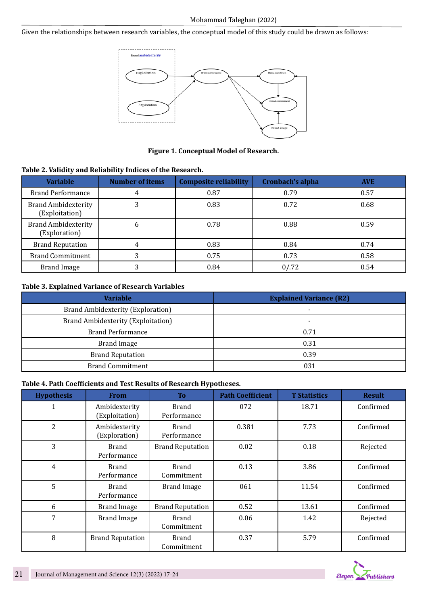Given the relationships between research variables, the conceptual model of this study could be drawn as follows:



# **Figure 1. Conceptual Model of Research.**

## **Table 2. Validity and Reliability Indices of the Research.**

| <b>Variable</b>                              | <b>Number of items</b> | <b>Composite reliability</b> | Cronbach's alpha | <b>AVE</b> |
|----------------------------------------------|------------------------|------------------------------|------------------|------------|
| <b>Brand Performance</b>                     | 4                      | 0.87                         | 0.79             | 0.57       |
| <b>Brand Ambidexterity</b><br>(Exploitation) | 3                      | 0.83                         | 0.72             |            |
| <b>Brand Ambidexterity</b><br>(Exploration)  | b                      | 0.78                         | 0.88             | 0.59       |
| <b>Brand Reputation</b>                      | 4                      | 0.83                         | 0.84             | 0.74       |
| <b>Brand Commitment</b>                      | 3                      | 0.75                         | 0.73             | 0.58       |
| Brand Image                                  | 3                      | 0.84                         | 0/0.72           | 0.54       |

# **Table 3. Explained Variance of Research Variables**

| <b>Variable</b>                    | <b>Explained Variance (R2)</b> |  |  |
|------------------------------------|--------------------------------|--|--|
| Brand Ambidexterity (Exploration)  |                                |  |  |
| Brand Ambidexterity (Exploitation) |                                |  |  |
| <b>Brand Performance</b>           | 0.71                           |  |  |
| <b>Brand Image</b>                 | 0.31                           |  |  |
| <b>Brand Reputation</b>            | 0.39                           |  |  |
| <b>Brand Commitment</b>            | 031                            |  |  |

# **Table 4. Path Coefficients and Test Results of Research Hypotheses.**

| <b>Hypothesis</b> | <b>From</b>                     | T <sub>0</sub>              | <b>Path Coefficient</b> | <b>T</b> Statistics | <b>Result</b> |
|-------------------|---------------------------------|-----------------------------|-------------------------|---------------------|---------------|
| 1                 | Ambidexterity<br>(Exploitation) | <b>Brand</b><br>Performance | 072                     | 18.71               | Confirmed     |
| $\overline{2}$    | Ambidexterity<br>(Exploration)  | Brand<br>Performance        | 0.381                   | 7.73                | Confirmed     |
| 3                 | Brand<br>Performance            | <b>Brand Reputation</b>     | 0.02                    | 0.18                | Rejected      |
| $\overline{4}$    | Brand<br>Performance            | Brand<br>Commitment         | 0.13                    | 3.86                | Confirmed     |
| 5                 | Brand<br>Performance            | <b>Brand Image</b>          | 061                     | 11.54               | Confirmed     |
| 6                 | <b>Brand Image</b>              | <b>Brand Reputation</b>     | 0.52                    | 13.61               | Confirmed     |
| 7                 | <b>Brand Image</b>              | Brand<br>Commitment         | 0.06                    | 1.42                | Rejected      |
| 8                 | <b>Brand Reputation</b>         | Brand<br>Commitment         | 0.37                    | 5.79                | Confirmed     |

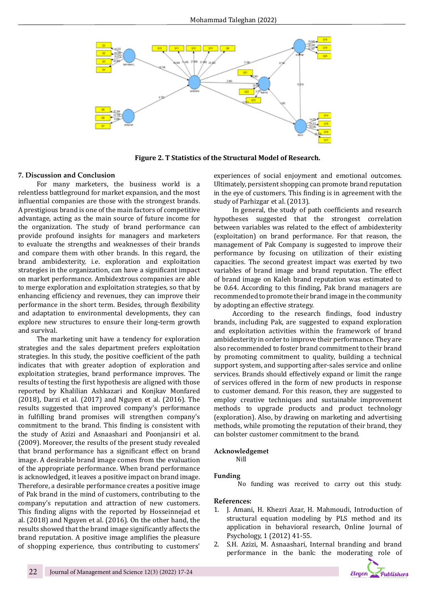

 **Figure 2. T Statistics of the Structural Model of Research.**

#### **7. Discussion and Conclusion**

For many marketers, the business world is a relentless battleground for market expansion, and the most influential companies are those with the strongest brands. A prestigious brand is one of the main factors of competitive advantage, acting as the main source of future income for the organization. The study of brand performance can provide profound insights for managers and marketers to evaluate the strengths and weaknesses of their brands and compare them with other brands. In this regard, the brand ambidexterity, i.e. exploration and exploitation strategies in the organization, can have a significant impact on market performance. Ambidextrous companies are able to merge exploration and exploitation strategies, so that by enhancing efficiency and revenues, they can improve their performance in the short term. Besides, through flexibility and adaptation to environmental developments, they can explore new structures to ensure their long-term growth and survival.

The marketing unit have a tendency for exploration strategies and the sales department prefers exploitation strategies. In this study, the positive coefficient of the path indicates that with greater adoption of exploration and exploitation strategies, brand performance improves. The results of testing the first hypothesis are aligned with those reported by Khalilian Ashkazari and Konjkav Monfared (2018), Darzi et al. (2017) and Nguyen et al. (2016). The results suggested that improved company's performance in fulfilling brand promises will strengthen company's commitment to the brand. This finding is consistent with the study of Azizi and Asnaashari and Poonjansiri et al. (2009). Moreover, the results of the present study revealed that brand performance has a significant effect on brand image. A desirable brand image comes from the evaluation of the appropriate performance. When brand performance is acknowledged, it leaves a positive impact on brand image. Therefore, a desirable performance creates a positive image of Pak brand in the mind of customers, contributing to the company's reputation and attraction of new customers. This finding aligns with the reported by Hosseinnejad et al. (2018) and Nguyen et al. (2016). On the other hand, the results showed that the brand image significantly affects the brand reputation. A positive image amplifies the pleasure of shopping experience, thus contributing to customers'

experiences of social enjoyment and emotional outcomes. Ultimately, persistent shopping can promote brand reputation in the eye of customers. This finding is in agreement with the study of Parhizgar et al. (2013).

In general, the study of path coefficients and research hypotheses suggested that the strongest correlation between variables was related to the effect of ambidexterity (exploitation) on brand performance. For that reason, the management of Pak Company is suggested to improve their performance by focusing on utilization of their existing capacities. The second greatest impact was exerted by two variables of brand image and brand reputation. The effect of brand image on Kaleh brand reputation was estimated to be 0.64. According to this finding, Pak brand managers are recommended to promote their brand image in the community by adopting an effective strategy.

According to the research findings, food industry brands, including Pak, are suggested to expand exploration and exploitation activities within the framework of brand ambidexterity in order to improve their performance. They are also recommended to foster brand commitment to their brand by promoting commitment to quality, building a technical support system, and supporting after-sales service and online services. Brands should effectively expand or limit the range of services offered in the form of new products in response to customer demand. For this reason, they are suggested to employ creative techniques and sustainable improvement methods to upgrade products and product technology (exploration). Also, by drawing on marketing and advertising methods, while promoting the reputation of their brand, they can bolster customer commitment to the brand.

#### **Acknowledgemet**

Nill

#### **Funding**

No funding was received to carry out this study.

#### **References:**

- 1. J. Amani, H. Khezri Azar, H. Mahmoudi, Introduction of structural equation modeling by PLS method and its application in behavioral research, Online Journal of Psychology, 1 (2012) 41-55.
- 2. S.H. Azizi, M. Asnaashari, Internal branding and brand performance in the bank: the moderating role of

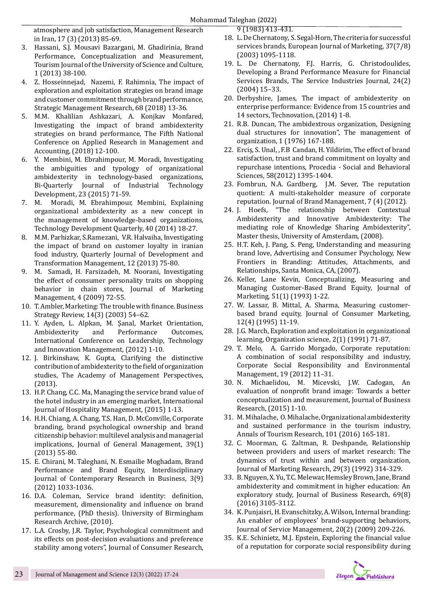atmosphere and job satisfaction, Management Research in Iran, 17 (3) (2013) 85-69.

- 3. Hassani, S.J. Mousavi Bazargani, M. Ghadirinia, Brand Performance, Conceptualization and Measurement, Tourism Journal of the University of Science and Culture, 1 (2013) 38-100.
- 4. Z. Hosseinnejad, Nazemi, F. Rahimnia, The impact of exploration and exploitation strategies on brand image and customer commitment through brand performance, Strategic Management Research, 68 (2018) 13-36.
- 5. M.M. Khalilian Ashkazari, A. Konjkav Monfared, Investigating the impact of brand ambidexterity strategies on brand performance, The Fifth National Conference on Applied Research in Management and Accounting, (2018) 12-100.
- 6. Y. Membini, M. Ebrahimpour, M. Moradi, Investigating the ambiguities and typology of organizational ambidexterity in technology-based organizations, Bi-Quarterly Journal of Industrial Technology Development, 23 (2015) 71-59.
- 7. M. Moradi, M. Ebrahimpour, Membini, Explaining organizational ambidexterity as a new concept in the management of knowledge-based organizations, Technology Development Quarterly, 40 (2014) 18-27.
- 8. M.M. Parhizkar, S.Ramezani, V.R. Halvaiha, Investigating the impact of brand on customer loyalty in iranian food industry, Quarterly Journal of Development and Transformation Management, 12 (2013) 75-80.
- 9. M. Samadi, H. Farsizadeh, M. Noorani, Investigating the effect of consumer personality traits on shopping behavior in chain stores, Journal of Marketing Management, 4 (2009) 72-55.
- 10. T. Ambler, Marketing: The trouble with finance. Business Strategy Review, 14(3) (2003) 54–62.
- 11. Y. Ayden, L. Alpkan, M. Şanal, Market Orientation, Ambidexterity and Performance Outcomes, International Conference on Leadership, Technology and Innovation Management, (2012) 1-10.
- 12. J. Birkinshaw, K. Gupta, Clarifying the distinctive contribution of ambidexterity to the field of organization studies, The Academy of Management Perspectives, (2013).
- 13. H.P. Chang, C.C. Ma, Managing the service brand value of the hotel industry in an emerging market, International Journal of Hospitality Management, (2015) 1-13.
- 14. H.H. Chiang, A. Chang, T.S. Han, D. McConville, Corporate branding, brand psychological ownership and brand citizenship behavior: multilevel analysis and managerial implications, Journal of General Management, 39(1) (2013) 55-80.
- 15. E. Chirani, M. Taleghani, N. Esmailie Moghadam, Brand Performance and Brand Equity, Interdisciplinary Journal of Contemporary Research in Business, 3(9) (2012) 1033-1036.
- 16. D.A. Coleman, Service brand identity: definition, measurement, dimensionality and influence on brand performance, (PhD thesis). University of Birmingham Research Archive, (2010).
- 17. L.A. Crosby, J.R. Taylor, Psychological commitment and its effects on post-decision evaluations and preference stability among voters", Journal of Consumer Research,

9 (1983) 413-431.

- 18. L. De Chernatony, S. Segal-Horn, The criteria for successful services brands, European Journal of Marketing, 37(7/8) (2003) 1095-1118.
- 19. L. De Chernatony, F.J. Harris, G. Christodoulides, Developing a Brand Performance Measure for Financial Services Brands, The Service Industries Journal, 24(2) (2004) 15–33.
- 20. Derbyshire, James, The impact of ambidexterity on enterprise performance: Evidence from 15 countries and 14 sectors, Technovation, (2014) 1-8.
- 21. R.B. Duncan, The ambidextrous organization, Designing dual structures for innovation", The management of organization, 1 (1976) 167-188.
- 22. Erciş, S. Unal, , F.B Candan, H. Yildirim, The effect of brand satisfaction, trust and brand commitment on loyalty and repurchase intentions, Procedia - Social and Behavioral Sciences, 58(2012) 1395-1404.
- 23. Fombrun, N.A. Gardberg, J.M. Sever, The reputation quotient: A multi-stakeholder measure of corporate reputation. Journal of Brand Management, 7 (4) (2012).<br>24. J. Hoefs, "The relationship between Contextual
- "The relationship between Contextual Ambidexterity and Innovative Ambidexterity: The mediating role of Knowledge Sharing Ambidexterity", Master thesis, University of Amsterdam, (2008).
- 25. H.T. Keh, J. Pang, S. Peng, Understanding and measuring brand love, Advertising and Consumer Psychology, New Frontiers in Branding: Attitudes, Attachments, and Relationships, Santa Monica, CA, (2007).
- 26. Keller, Lane Kevin, Conceptualizing, Measuring and Managing Customer-Based Brand Equity, Journal of Marketing, 51(1) (1993) 1-22.
- 27. W. Lassar, B. Mittal, A. Sharma, Measuring customerbased brand equity, Journal of Consumer Marketing, 12(4) (1995) 11-19.
- 28. J.G. March, Exploration and exploitation in organizational learning, Organization science, 2(1) (1991) 71-87.
- 29. T. Melo, A. Garrido Morgado, Corporate reputation: A combination of social responsibility and industry, Corporate Social Responsibility and Environmental Management, 19 (2012) 11–31.
- 30. N. Michaelidou, M. Micevski, J.W. Cadogan, An evaluation of nonprofit brand image: Towards a better conceptualization and measurement, Journal of Business Research, (2015) 1-10.
- 31. M. Mihalache, O. Mihalache, Organizational ambidexterity and sustained performance in the tourism industry, Annals of Tourism Research, 101 (2016) 165-181.
- 32. C. Moorman, G. Zaltman, R. Deshpande, Relationship between providers and users of market research: The dynamics of trust within and between organization, Journal of Marketing Research, 29(3) (1992) 314-329.
- 33. B. Nguyen, X. Yu, T.C. Melewar, Hemsley Brown, Jane, Brand ambidexterity and commitment in higher education: An exploratory study, Journal of Business Research, 69(8) (2016) 3105-3112.
- 34. K. Punjaisri, H. Evanschitzky, A. Wilson, Internal branding: An enabler of employees' brand-supporting behaviors, Journal of Service Management, 20(2) (2009) 209-226.
- 35. K.E. Schinietz, M.J. Epstein, Exploring the financial value of a reputation for corporate social responsibility during